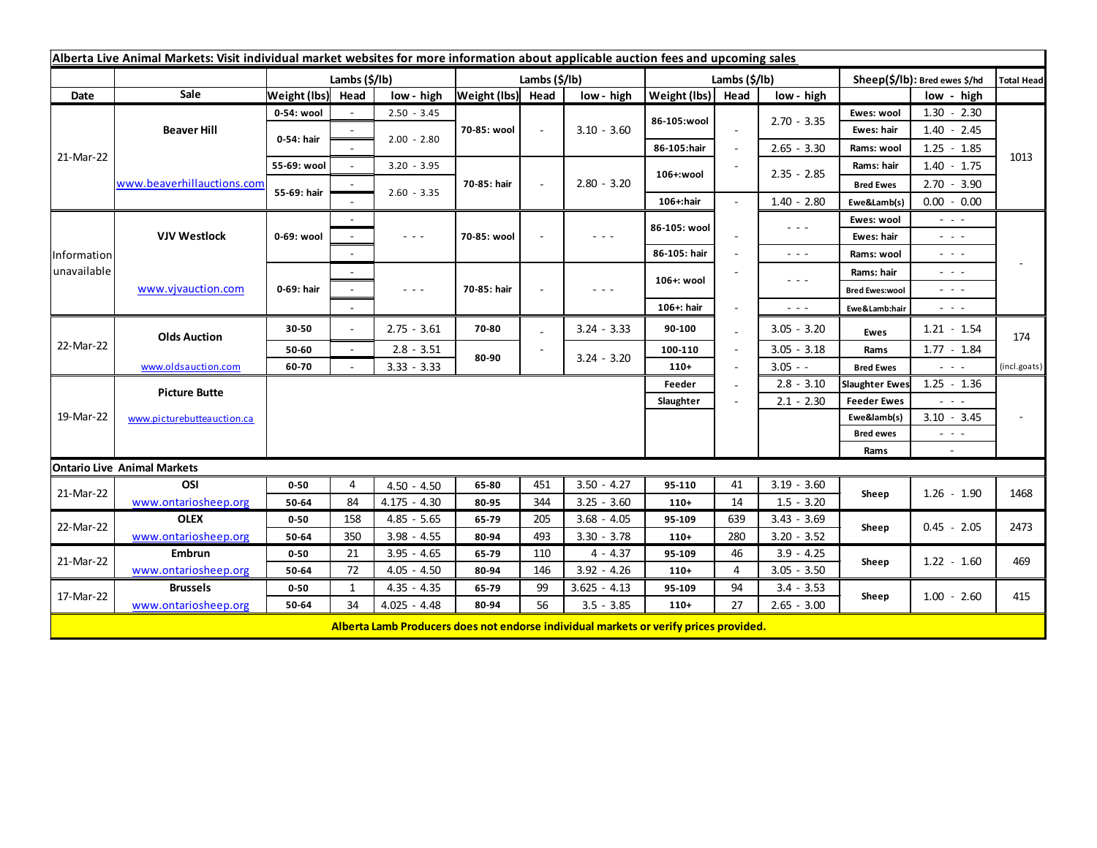| Alberta Live Animal Markets: Visit individual market websites for more information about applicable auction fees and upcoming sales |                                       |                   |              |                                                                                                                           |                   |            |                                                                                                                                                                                                                                                                                                                                                                                                                                                |                  |           |                                                                                                                        |                               |                                                                                                                           |              |
|-------------------------------------------------------------------------------------------------------------------------------------|---------------------------------------|-------------------|--------------|---------------------------------------------------------------------------------------------------------------------------|-------------------|------------|------------------------------------------------------------------------------------------------------------------------------------------------------------------------------------------------------------------------------------------------------------------------------------------------------------------------------------------------------------------------------------------------------------------------------------------------|------------------|-----------|------------------------------------------------------------------------------------------------------------------------|-------------------------------|---------------------------------------------------------------------------------------------------------------------------|--------------|
|                                                                                                                                     |                                       | Lambs (\$/lb)     |              |                                                                                                                           | Lambs (\$/lb)     |            |                                                                                                                                                                                                                                                                                                                                                                                                                                                | Lambs (\$/lb)    |           |                                                                                                                        | Sheep(\$/lb): Bred ewes \$/hd |                                                                                                                           | Total Head   |
| Date                                                                                                                                | Sale                                  | Weight (lbs)      | Head         | low - high                                                                                                                | Weight (lbs) Head |            | low - high                                                                                                                                                                                                                                                                                                                                                                                                                                     | Weight (lbs)     | Head      | low - high                                                                                                             |                               | low - high                                                                                                                |              |
| 21-Mar-22                                                                                                                           | <b>Beaver Hill</b>                    | 0-54: wool        |              | $2.50 - 3.45$                                                                                                             | 70-85: wool       | ÷.         | $3.10 - 3.60$                                                                                                                                                                                                                                                                                                                                                                                                                                  | 86-105:wool      |           |                                                                                                                        | Ewes: wool                    | $1.30 - 2.30$                                                                                                             |              |
|                                                                                                                                     |                                       | 0-54: hair        |              | $2.00 - 2.80$                                                                                                             |                   |            |                                                                                                                                                                                                                                                                                                                                                                                                                                                |                  |           | $2.70 - 3.35$                                                                                                          | Ewes: hair                    | $1.40 - 2.45$                                                                                                             |              |
|                                                                                                                                     |                                       |                   |              |                                                                                                                           |                   |            |                                                                                                                                                                                                                                                                                                                                                                                                                                                | 86-105:hair      |           | $2.65 - 3.30$                                                                                                          | Rams: wool                    | $1.25 - 1.85$                                                                                                             | 1013         |
|                                                                                                                                     | www.beaverhillauctions.com            | 55-69: wool       |              | $3.20 - 3.95$                                                                                                             |                   |            | $2.80 - 3.20$                                                                                                                                                                                                                                                                                                                                                                                                                                  | 106+:wool        |           | $2.35 - 2.85$                                                                                                          | Rams: hair                    | $1.40 - 1.75$                                                                                                             |              |
|                                                                                                                                     |                                       | 55-69: hair       |              | $2.60 - 3.35$                                                                                                             | 70-85: hair       |            |                                                                                                                                                                                                                                                                                                                                                                                                                                                |                  |           |                                                                                                                        | <b>Bred Ewes</b>              | $2.70 - 3.90$                                                                                                             |              |
|                                                                                                                                     |                                       |                   |              |                                                                                                                           |                   |            |                                                                                                                                                                                                                                                                                                                                                                                                                                                | 106+:hair        |           | $1.40 - 2.80$                                                                                                          | Ewe&Lamb(s)                   | $0.00 - 0.00$                                                                                                             |              |
| Information<br>unavailable                                                                                                          | <b>VJV Westlock</b>                   | 0-69: wool        |              |                                                                                                                           |                   |            | $  -$                                                                                                                                                                                                                                                                                                                                                                                                                                          | 86-105: wool     |           | $\sim$ $\sim$ $\sim$                                                                                                   | Ewes: wool                    | $\sim$ 100 $\pm$                                                                                                          |              |
|                                                                                                                                     |                                       |                   |              | $\frac{1}{2} \left( \frac{1}{2} \right) = \frac{1}{2} \left( \frac{1}{2} \right)$                                         | 70-85: wool       |            |                                                                                                                                                                                                                                                                                                                                                                                                                                                |                  |           |                                                                                                                        | Ewes: hair                    | $\frac{1}{2} \left( \frac{1}{2} \right) \left( \frac{1}{2} \right) \left( \frac{1}{2} \right)$                            |              |
|                                                                                                                                     |                                       |                   |              |                                                                                                                           |                   |            |                                                                                                                                                                                                                                                                                                                                                                                                                                                | 86-105: hair     |           | $\sim$ $\sim$ $\sim$                                                                                                   | Rams: wool                    | $\sim$ 100 $\sim$                                                                                                         |              |
|                                                                                                                                     | www.vjvauction.com                    | 0-69: hair        | $\sim$       |                                                                                                                           |                   |            | $\frac{1}{2} \left( \frac{1}{2} \right) + \frac{1}{2} \left( \frac{1}{2} \right) + \frac{1}{2} \left( \frac{1}{2} \right) + \frac{1}{2} \left( \frac{1}{2} \right) + \frac{1}{2} \left( \frac{1}{2} \right) + \frac{1}{2} \left( \frac{1}{2} \right) + \frac{1}{2} \left( \frac{1}{2} \right) + \frac{1}{2} \left( \frac{1}{2} \right) + \frac{1}{2} \left( \frac{1}{2} \right) + \frac{1}{2} \left( \frac{1}{2} \right) + \frac{1}{2} \left($ | 106+: wool       |           | $\frac{1}{2} \left( \frac{1}{2} \right) \frac{1}{2} \left( \frac{1}{2} \right) \frac{1}{2} \left( \frac{1}{2} \right)$ | Rams: hair                    | $\frac{1}{2} \left( \frac{1}{2} \right) \left( \frac{1}{2} \right) \left( \frac{1}{2} \right) \left( \frac{1}{2} \right)$ |              |
|                                                                                                                                     |                                       |                   |              | $\frac{1}{2} \left( \frac{1}{2} \right) \left( \frac{1}{2} \right) \left( \frac{1}{2} \right) \left( \frac{1}{2} \right)$ | 70-85: hair       |            |                                                                                                                                                                                                                                                                                                                                                                                                                                                |                  |           |                                                                                                                        | <b>Bred Ewes:wool</b>         | $\frac{1}{2} \left( \frac{1}{2} \right) \frac{1}{2} \left( \frac{1}{2} \right) \frac{1}{2} \left( \frac{1}{2} \right)$    |              |
|                                                                                                                                     |                                       |                   |              |                                                                                                                           |                   |            |                                                                                                                                                                                                                                                                                                                                                                                                                                                | 106+: hair       |           | $\sim$ $\sim$ $\sim$                                                                                                   | Ewe&Lamb:hair                 | $\frac{1}{2} \left( \frac{1}{2} \right) \left( \frac{1}{2} \right) \left( \frac{1}{2} \right) \left( \frac{1}{2} \right)$ |              |
| 22-Mar-22                                                                                                                           | <b>Olds Auction</b>                   | 30-50             | $\sim$       | $2.75 - 3.61$                                                                                                             | 70-80             |            | $3.24 - 3.33$                                                                                                                                                                                                                                                                                                                                                                                                                                  | 90-100           |           | $3.05 - 3.20$                                                                                                          | Ewes                          | $1.21 - 1.54$                                                                                                             | 174          |
|                                                                                                                                     |                                       | 50-60             | $\sim$       | $2.8 - 3.51$                                                                                                              | 80-90             |            |                                                                                                                                                                                                                                                                                                                                                                                                                                                | 100-110          |           | $3.05 - 3.18$                                                                                                          | Rams                          | $1.77 - 1.84$                                                                                                             |              |
|                                                                                                                                     | www.oldsauction.com                   | 60-70             |              | $3.33 - 3.33$                                                                                                             |                   |            | $3.24 - 3.20$                                                                                                                                                                                                                                                                                                                                                                                                                                  | $110+$           |           | $3.05 - -$                                                                                                             | <b>Bred Ewes</b>              | $\frac{1}{2} \left( \frac{1}{2} \right) \frac{1}{2} \left( \frac{1}{2} \right) \frac{1}{2} \left( \frac{1}{2} \right)$    | (incl.goats) |
| 19-Mar-22                                                                                                                           | <b>Picture Butte</b>                  |                   |              |                                                                                                                           |                   |            |                                                                                                                                                                                                                                                                                                                                                                                                                                                | Feeder           |           | $2.8 - 3.10$                                                                                                           | <b>Slaughter Ewes</b>         | $1.25 - 1.36$                                                                                                             |              |
|                                                                                                                                     |                                       |                   |              |                                                                                                                           |                   |            |                                                                                                                                                                                                                                                                                                                                                                                                                                                |                  |           | $2.1 - 2.30$                                                                                                           | <b>Feeder Ewes</b>            | $\sim$ 10 $\sim$                                                                                                          |              |
|                                                                                                                                     | www.picturebutteauction.ca            |                   |              |                                                                                                                           |                   |            |                                                                                                                                                                                                                                                                                                                                                                                                                                                |                  |           |                                                                                                                        | Ewe&lamb(s)                   | $3.10 - 3.45$                                                                                                             |              |
|                                                                                                                                     |                                       |                   |              |                                                                                                                           |                   |            |                                                                                                                                                                                                                                                                                                                                                                                                                                                |                  |           | <b>Bred ewes</b>                                                                                                       | $\sim$ $\sim$ $\sim$          |                                                                                                                           |              |
|                                                                                                                                     |                                       |                   |              |                                                                                                                           |                   |            |                                                                                                                                                                                                                                                                                                                                                                                                                                                |                  |           |                                                                                                                        | Rams                          | $\sim$                                                                                                                    |              |
|                                                                                                                                     | <b>Ontario Live Animal Markets</b>    |                   |              |                                                                                                                           |                   |            |                                                                                                                                                                                                                                                                                                                                                                                                                                                |                  |           |                                                                                                                        |                               |                                                                                                                           |              |
| 21-Mar-22                                                                                                                           | OSI                                   | $0 - 50$          | 4            | $4.50 - 4.50$                                                                                                             | 65-80             | 451        | $3.50 - 4.27$                                                                                                                                                                                                                                                                                                                                                                                                                                  | 95-110           | 41        | $3.19 - 3.60$                                                                                                          | Sheep                         | $1.26 - 1.90$                                                                                                             | 1468         |
| 22-Mar-22                                                                                                                           | www.ontariosheep.org                  | 50-64             | 84           | $4.175 - 4.30$                                                                                                            | 80-95             | 344        | $3.25 - 3.60$                                                                                                                                                                                                                                                                                                                                                                                                                                  | $110+$           | 14        | $1.5 - 3.20$                                                                                                           | Sheep                         | $0.45 - 2.05$                                                                                                             | 2473         |
|                                                                                                                                     | <b>OLEX</b>                           | $0 - 50$          | 158          | $4.85 - 5.65$                                                                                                             | 65-79             | 205        | $3.68 - 4.05$                                                                                                                                                                                                                                                                                                                                                                                                                                  | 95-109           | 639       | $3.43 - 3.69$                                                                                                          |                               |                                                                                                                           |              |
| 21-Mar-22                                                                                                                           | www.ontariosheep.org<br><b>Embrun</b> | 50-64             | 350<br>21    | $3.98 - 4.55$<br>$3.95 - 4.65$                                                                                            | 80-94             | 493<br>110 | $3.30 - 3.78$<br>$4 - 4.37$                                                                                                                                                                                                                                                                                                                                                                                                                    | $110+$           | 280<br>46 | $3.20 - 3.52$<br>$3.9 - 4.25$                                                                                          | Sheep                         | $1.22 - 1.60$                                                                                                             |              |
|                                                                                                                                     | www.ontariosheep.org                  | $0 - 50$          | 72           | $4.05 - 4.50$                                                                                                             | 65-79<br>80-94    | 146        | $3.92 - 4.26$                                                                                                                                                                                                                                                                                                                                                                                                                                  | 95-109           | 4         | $3.05 - 3.50$                                                                                                          |                               |                                                                                                                           | 469          |
| 17-Mar-22                                                                                                                           | <b>Brussels</b>                       | 50-64<br>$0 - 50$ | $\mathbf{1}$ | $4.35 - 4.35$                                                                                                             | 65-79             | 99         | $3.625 - 4.13$                                                                                                                                                                                                                                                                                                                                                                                                                                 | $110+$<br>95-109 | 94        | $3.4 - 3.53$                                                                                                           | Sheep                         | $1.00 - 2.60$                                                                                                             | 415          |
|                                                                                                                                     | www.ontariosheep.org                  | 50-64             | 34           | $4.025 - 4.48$                                                                                                            | 80-94             | 56         | $3.5 - 3.85$                                                                                                                                                                                                                                                                                                                                                                                                                                   | $110+$           | 27        | $2.65 - 3.00$                                                                                                          |                               |                                                                                                                           |              |
|                                                                                                                                     |                                       |                   |              |                                                                                                                           |                   |            |                                                                                                                                                                                                                                                                                                                                                                                                                                                |                  |           |                                                                                                                        |                               |                                                                                                                           |              |
|                                                                                                                                     |                                       |                   |              |                                                                                                                           |                   |            | Alberta Lamb Producers does not endorse individual markets or verify prices provided.                                                                                                                                                                                                                                                                                                                                                          |                  |           |                                                                                                                        |                               |                                                                                                                           |              |